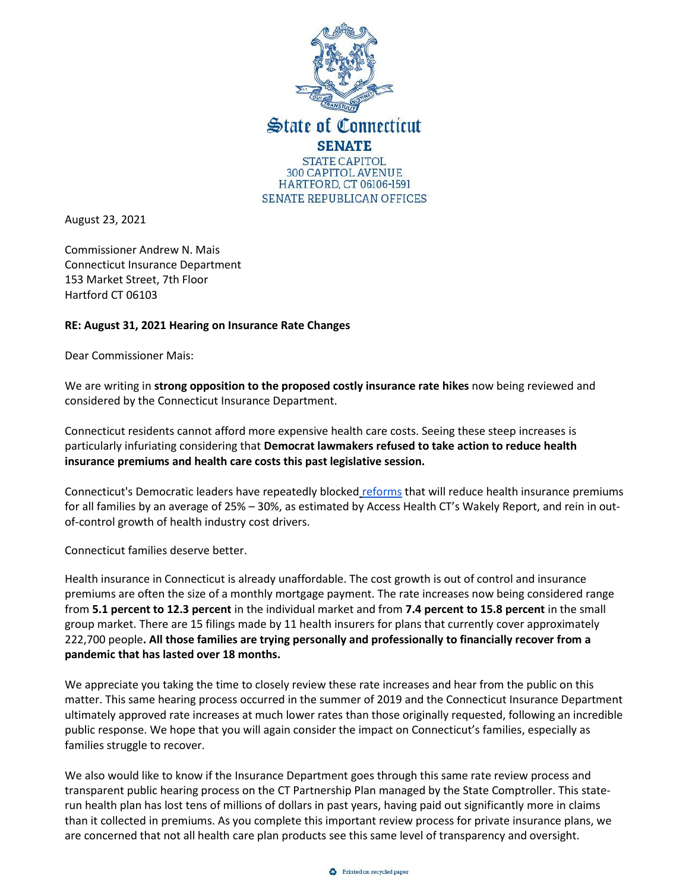

August 23, 2021

Commissioner Andrew N. Mais Connecticut Insurance Department 153 Market Street, 7th Floor Hartford CT 06103

## **RE: August 31, 2021 Hearing on Insurance Rate Changes**

Dear Commissioner Mais:

We are writing in **strong opposition to the proposed costly insurance rate hikes** now being reviewed and considered by the Connecticut Insurance Department.

Connecticut residents cannot afford more expensive health care costs. Seeing these steep increases is particularly infuriating considering that **Democrat lawmakers refused to take action to reduce health insurance premiums and health care costs this past legislative session.**

Connecticut's Democratic leaders have repeatedly blocked [reforms](https://ctsenaterepublicans.com/wp-content/uploads/2021/06/CTGOP_BetterWay_AffordableAccessibleHealthCare-compressed.pdf) that will reduce health insurance premiums for all families by an average of 25% – 30%, as estimated by Access Health CT's Wakely Report, and rein in outof-control growth of health industry cost drivers.

Connecticut families deserve better.

Health insurance in Connecticut is already unaffordable. The cost growth is out of control and insurance premiums are often the size of a monthly mortgage payment. The rate increases now being considered range from **5.1 percent to 12.3 percent** in the individual market and from **7.4 percent to 15.8 percent** in the small group market. There are 15 filings made by 11 health insurers for plans that currently cover approximately 222,700 people**. All those families are trying personally and professionally to financially recover from a pandemic that has lasted over 18 months.**

We appreciate you taking the time to closely review these rate increases and hear from the public on this matter. This same hearing process occurred in the summer of 2019 and the Connecticut Insurance Department ultimately approved rate increases at much lower rates than those originally requested, following an incredible public response. We hope that you will again consider the impact on Connecticut's families, especially as families struggle to recover.

We also would like to know if the Insurance Department goes through this same rate review process and transparent public hearing process on the CT Partnership Plan managed by the State Comptroller. This staterun health plan has lost tens of millions of dollars in past years, having paid out significantly more in claims than it collected in premiums. As you complete this important review process for private insurance plans, we are concerned that not all health care plan products see this same level of transparency and oversight.